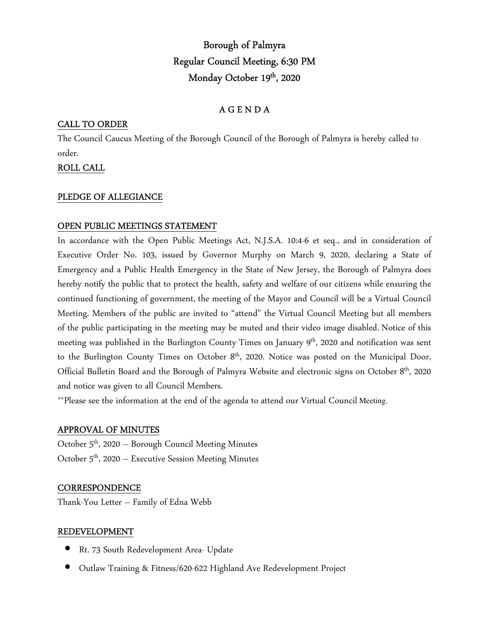# Borough of Palmyra Regular Council Meeting, 6:30 PM Monday October 19<sup>th</sup>, 2020

## A G E N D A

## CALL TO ORDER

The Council Caucus Meeting of the Borough Council of the Borough of Palmyra is hereby called to order.

## ROLL CALL

#### PLEDGE OF ALLEGIANCE

## OPEN PUBLIC MEETINGS STATEMENT

In accordance with the Open Public Meetings Act, N.J.S.A. 10:4-6 et seq., and in consideration of Executive Order No. 103, issued by Governor Murphy on March 9, 2020, declaring a State of Emergency and a Public Health Emergency in the State of New Jersey, the Borough of Palmyra does hereby notify the public that to protect the health, safety and welfare of our citizens while ensuring the continued functioning of government, the meeting of the Mayor and Council will be a Virtual Council Meeting. Members of the public are invited to "attend" the Virtual Council Meeting but all members of the public participating in the meeting may be muted and their video image disabled. Notice of this meeting was published in the Burlington County Times on January 9<sup>th</sup>, 2020 and notification was sent to the Burlington County Times on October 8<sup>th</sup>, 2020. Notice was posted on the Municipal Door, Official Bulletin Board and the Borough of Palmyra Website and electronic signs on October 8<sup>th</sup>, 2020 and notice was given to all Council Members.

\*\*Please see the information at the end of the agenda to attend our Virtual Council Meeting.

## APPROVAL OF MINUTES

October 5<sup>th</sup>, 2020 - Borough Council Meeting Minutes October  $5<sup>th</sup>$ , 2020 – Executive Session Meeting Minutes

## **CORRESPONDENCE**

Thank-You Letter – Family of Edna Webb

## REDEVELOPMENT

- Rt. 73 South Redevelopment Area- Update
- Outlaw Training & Fitness/620-622 Highland Ave Redevelopment Project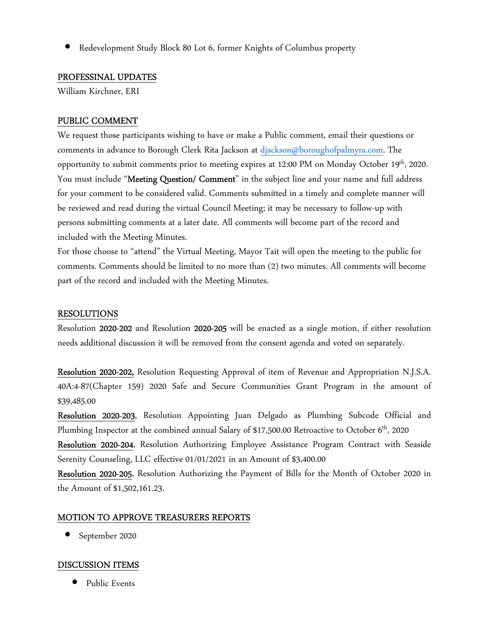• Redevelopment Study Block 80 Lot 6, former Knights of Columbus property

#### PROFESSINAL UPDATES

William Kirchner, ERI

## PUBLIC COMMENT

We request those participants wishing to have or make a Public comment, email their questions or comments in advance to Borough Clerk Rita Jackson at djackson@boroughofpalmyra.com. The opportunity to submit comments prior to meeting expires at 12:00 PM on Monday October 19th, 2020. You must include "Meeting Question/ Comment" in the subject line and your name and full address for your comment to be considered valid. Comments submitted in a timely and complete manner will be reviewed and read during the virtual Council Meeting; it may be necessary to follow-up with persons submitting comments at a later date. All comments will become part of the record and included with the Meeting Minutes.

For those choose to "attend" the Virtual Meeting, Mayor Tait will open the meeting to the public for comments. Comments should be limited to no more than (2) two minutes. All comments will become part of the record and included with the Meeting Minutes.

## RESOLUTIONS

Resolution 2020-202 and Resolution 2020-205 will be enacted as a single motion, if either resolution needs additional discussion it will be removed from the consent agenda and voted on separately.

Resolution 2020-202, Resolution Requesting Approval of item of Revenue and Appropriation N.J.S.A. 40A:4-87(Chapter 159) 2020 Safe and Secure Communities Grant Program in the amount of \$39,485.00

Resolution 2020-203, Resolution Appointing Juan Delgado as Plumbing Subcode Official and Plumbing Inspector at the combined annual Salary of \$17,500.00 Retroactive to October 6<sup>th</sup>, 2020

Resolution 2020-204, Resolution Authorizing Employee Assistance Program Contract with Seaside Serenity Counseling, LLC effective 01/01/2021 in an Amount of \$3,400.00

Resolution 2020-205, Resolution Authorizing the Payment of Bills for the Month of October 2020 in the Amount of \$1,502,161.23.

## MOTION TO APPROVE TREASURERS REPORTS

• September 2020

## DISCUSSION ITEMS

• Public Events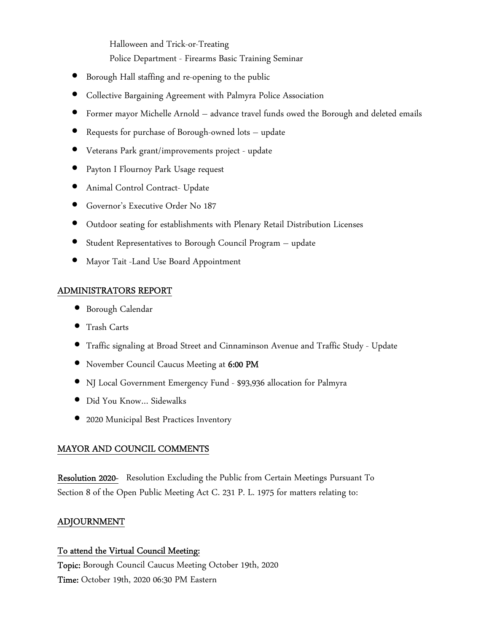Halloween and Trick-or-Treating Police Department - Firearms Basic Training Seminar

- Borough Hall staffing and re-opening to the public
- Collective Bargaining Agreement with Palmyra Police Association
- Former mayor Michelle Arnold advance travel funds owed the Borough and deleted emails
- Requests for purchase of Borough-owned lots update
- Veterans Park grant/improvements project update
- Payton I Flournoy Park Usage request
- Animal Control Contract- Update
- Governor's Executive Order No 187
- Outdoor seating for establishments with Plenary Retail Distribution Licenses
- Student Representatives to Borough Council Program update
- Mayor Tait -Land Use Board Appointment

#### ADMINISTRATORS REPORT

- Borough Calendar
- Trash Carts
- Traffic signaling at Broad Street and Cinnaminson Avenue and Traffic Study Update
- November Council Caucus Meeting at 6:00 PM
- NJ Local Government Emergency Fund \$93,936 allocation for Palmyra
- Did You Know… Sidewalks
- 2020 Municipal Best Practices Inventory

## MAYOR AND COUNCIL COMMENTS

Resolution 2020- Resolution Excluding the Public from Certain Meetings Pursuant To Section 8 of the Open Public Meeting Act C. 231 P. L. 1975 for matters relating to:

## ADJOURNMENT

## To attend the Virtual Council Meeting:

Topic: Borough Council Caucus Meeting October 19th, 2020 Time: October 19th, 2020 06:30 PM Eastern